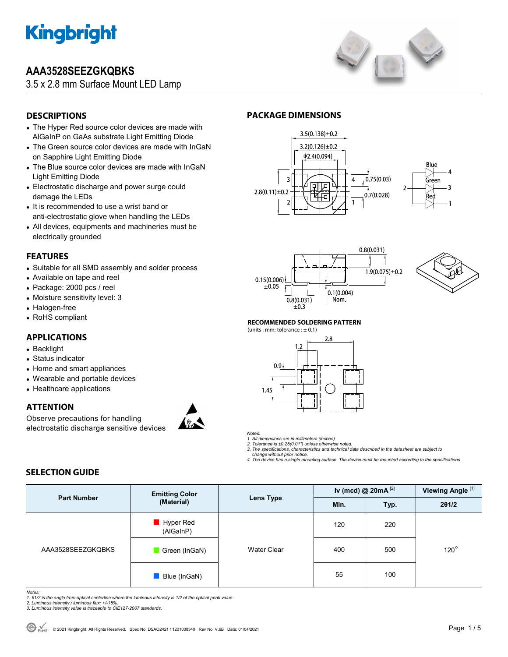

# **AAA3528SEEZGKQBKS**

3.5 x 2.8 mm Surface Mount LED Lamp



# **DESCRIPTIONS**

- The Hyper Red source color devices are made with AlGaInP on GaAs substrate Light Emitting Diode
- The Green source color devices are made with InGaN on Sapphire Light Emitting Diode
- The Blue source color devices are made with InGaN Light Emitting Diode
- Electrostatic discharge and power surge could damage the LEDs
- It is recommended to use a wrist band or anti-electrostatic glove when handling the LEDs
- All devices, equipments and machineries must be electrically grounded

## **FEATURES**

- Suitable for all SMD assembly and solder process
- Available on tape and reel
- Package: 2000 pcs / reel
- Moisture sensitivity level: 3
- Halogen-free
- RoHS compliant

## **APPLICATIONS**

- Backlight
- Status indicator
- Home and smart appliances
- Wearable and portable devices
- Healthcare applications

## **ATTENTION**

Observe precautions for handling electrostatic discharge sensitive devices



# **PACKAGE DIMENSIONS**









### **RECOMMENDED SOLDERING PATTERN**





### *Notes:*

*1. All dimensions are in millimeters (inches). 2. Tolerance is ±0.25(0.01") unless otherwise noted.* 

*3. The specifications, characteristics and technical data described in the datasheet are subject to* 

 *change without prior notice. 4. The device has a single mounting surface. The device must be mounted according to the specifications.* 

## **SELECTION GUIDE**

| <b>Part Number</b> | <b>Emitting Color</b><br>(Material) | Lens Type          | Iv (mcd) @ $20mA$ <sup>[2]</sup> |      | Viewing Angle <sup>[1]</sup> |  |
|--------------------|-------------------------------------|--------------------|----------------------------------|------|------------------------------|--|
|                    |                                     |                    | Min.                             | Typ. | 201/2                        |  |
| AAA3528SEEZGKQBKS  | Hyper Red<br>(AlGaInP)              |                    | 120                              | 220  |                              |  |
|                    | Green (InGaN)                       | <b>Water Clear</b> | 400                              | 500  | $120^\circ$                  |  |
|                    | Blue (InGaN)                        |                    | 55                               | 100  |                              |  |

Notes:<br>1. 81/2 is the angle from optical centerline where the luminous intensity is 1/2 of the optical peak value.<br>2. Luminous intensity / luminous flux: +/-15%.<br>3. Luminous intensity value is traceable to CIE127-2007 stan

- 
-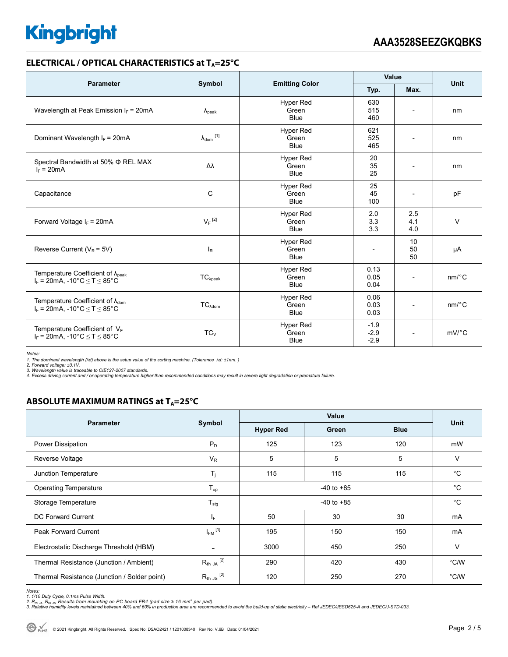## **ELECTRICAL / OPTICAL CHARACTERISTICS at T<sub>A</sub>=25°C**

| <b>Parameter</b>                                                                            |                                |                                          | Value                      |                          |                       |  |
|---------------------------------------------------------------------------------------------|--------------------------------|------------------------------------------|----------------------------|--------------------------|-----------------------|--|
|                                                                                             | Symbol                         | <b>Emitting Color</b>                    | Typ.                       | Max.                     | Unit                  |  |
| Wavelength at Peak Emission $I_F$ = 20mA                                                    | $\lambda_{\rm peak}$           | <b>Hyper Red</b><br>Green<br><b>Blue</b> | 630<br>515<br>460          |                          | nm                    |  |
| Dominant Wavelength $I_F = 20mA$                                                            | $\lambda_{dom}$ <sup>[1]</sup> | <b>Hyper Red</b><br>Green<br>Blue        | 621<br>525<br>465          |                          | nm                    |  |
| Spectral Bandwidth at 50% $\Phi$ REL MAX<br>$I_F = 20mA$                                    | Δλ                             | <b>Hyper Red</b><br>Green<br><b>Blue</b> | 20<br>35<br>25             | $\overline{\phantom{a}}$ | nm                    |  |
| C<br>Capacitance                                                                            |                                | <b>Hyper Red</b><br>Green<br><b>Blue</b> | 25<br>45<br>100            | $\overline{\phantom{a}}$ | pF                    |  |
| Forward Voltage $I_F$ = 20mA                                                                | $V_F$ <sup>[2]</sup>           | <b>Hyper Red</b><br>Green<br><b>Blue</b> | 2.0<br>3.3<br>3.3          | 2.5<br>4.1<br>4.0        | $\vee$                |  |
| Reverse Current ( $V_R$ = 5V)                                                               | $I_R$                          | <b>Hyper Red</b><br>Green<br><b>Blue</b> | $\overline{a}$             | 10<br>50<br>50           | μA                    |  |
| Temperature Coefficient of $\lambda_{peak}$<br>$I_F$ = 20mA, -10°C $\le T \le 85$ °C        | $TC_{\lambda peak}$            | Hyper Red<br>Green<br><b>Blue</b>        | 0.13<br>0.05<br>0.04       |                          | $nm$ /°C              |  |
| Temperature Coefficient of $\lambda_{\text{dom}}$<br>$I_F = 20$ mA, -10°C $\le T \le 85$ °C | $TC_{\lambda \text{dom}}$      | <b>Hyper Red</b><br>Green<br><b>Blue</b> | 0.06<br>0.03<br>0.03       | $\overline{\phantom{a}}$ | nm/°C                 |  |
| Temperature Coefficient of $V_F$<br>$I_F = 20$ mA, -10°C $\le T \le 85$ °C                  | TC <sub>V</sub>                | <b>Hyper Red</b><br>Green<br><b>Blue</b> | $-1.9$<br>$-2.9$<br>$-2.9$ |                          | $mV$ <sup>o</sup> $C$ |  |

*Notes: 1. The dominant wavelength (λd) above is the setup value of the sorting machine. (Tolerance λd: ±1nm. )* 

*2. Forward voltage: ±0.1V. 3. Wavelength value is traceable to CIE127-2007 standards.* 

*4. Excess driving current and / or operating temperature higher than recommended conditions may result in severe light degradation or premature failure.* 

# **ABSOLUTE MAXIMUM RATINGS at T<sub>A</sub>=25°C**

|                                              | Symbol                   | Value            |             |             |             |
|----------------------------------------------|--------------------------|------------------|-------------|-------------|-------------|
| <b>Parameter</b>                             |                          | <b>Hyper Red</b> | Green       | <b>Blue</b> | Unit        |
| Power Dissipation                            | $P_D$                    | 125              | 123         | 120         | mW          |
| Reverse Voltage                              | $V_R$                    | 5                | 5           | 5           | $\vee$      |
| Junction Temperature                         | $T_j$                    | 115              | 115         | 115         | $^{\circ}C$ |
| <b>Operating Temperature</b>                 | $T_{op}$                 |                  | $^{\circ}C$ |             |             |
| Storage Temperature                          | $T_{\text{stg}}$         | $-40$ to $+85$   |             |             | $^{\circ}C$ |
| DC Forward Current                           | IF.                      | 50               | 30          | 30          | mA          |
| Peak Forward Current                         | $I_{FM}$ <sup>[1]</sup>  | 195              | 150         | 150         | mA          |
| Electrostatic Discharge Threshold (HBM)      | $\overline{\phantom{a}}$ | 3000             | 450         | 250         | $\vee$      |
| Thermal Resistance (Junction / Ambient)      | $R_{th}$ JA $^{[2]}$     | 290              | 420         | 430         | °C/W        |
| Thermal Resistance (Junction / Solder point) | $R_{th}$ JS $^{[2]}$     | 120              | 250         | 270         | °C/W        |

*Notes:* 

1. 1/10 Duty Cycle, 0.1ms Pulse Width.<br>2. R<sub>th Ja</sub> ,R<sub>h JS</sub> Results from mounting on PC board FR4 (pad size ≥ 16 mm<sup>2</sup> per pad).<br>3. Relative humidity levels maintained between 40% and 60% in production area are recommende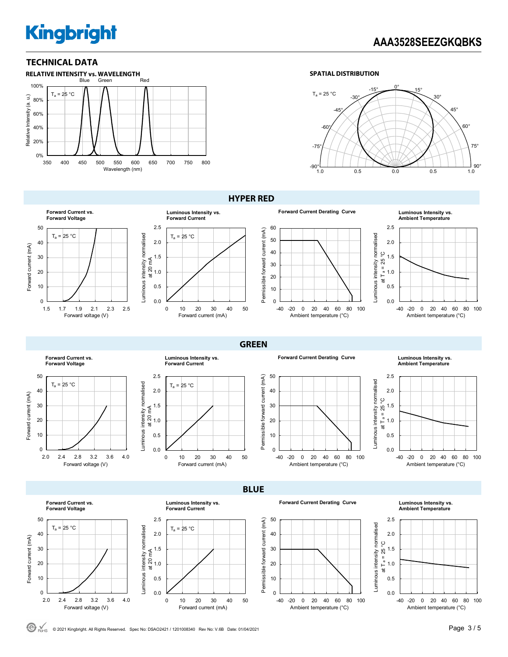# **AAA3528SEEZGKQBKS**

### **TECHNICAL DATA**







### **HYPER RED**





# **Ambient Temperature**



**Forward Current vs. Forward Voltage** 50  $T_a = 25 °C$  $40$ Forward current (mA) Forward current (mA) 30 20 10 0 2.0 2.4 2.8 3.2 3.6 4.0 Forward voltage (V)



 $T_a = 25 °C$ 

0.0 0.5 1.0 1.5 2.0 2.5

Luminous intensity normalised at 20 mA





# **Ambient Temperature**



**Forward Current vs. Forward Voltage**



**Luminous Intensity vs. Forward Current**

0 10 20 30 40 50

**BLUE** 

**GREEN** 

Forward current (mA)

 $T_a = 25 °C$ 

0 10 20 30 40 50

Forward current (mA)





**Ambient Temperature**



C RoHS © 2021 Kingbright. All Rights Reserved. Spec No: DSAO2421 / 1201008340 Rev No: V.6B Date: 01/04/2021 **Page 3 / 5 Page 3 / 5** 

Luminous intensity normalised at 20 mA

0.0 0.5 1.0 1.5 2.0 2.5

0.0 0.5 1.0 ≨ <sup>1.5</sup><br>ದ 1.0<br>ಹ

2.0 2.5

Luminous intensity normalised

Luminous intensity normalised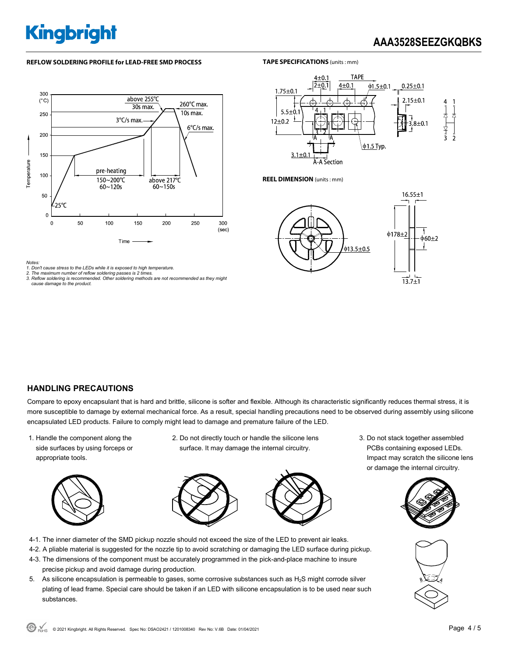# **AAA3528SEEZGKQBKS**

### **REFLOW SOLDERING PROFILE for LEAD-FREE SMD PROCESS**







**REEL DIMENSION** (units : mm)

**TAPE SPECIFICATIONS** (units : mm)



*Notes:* 

*1. Don't cause stress to the LEDs while it is exposed to high temperature. 1. Don't cause stress to the LEDs while it is exposed to high temp* 

*2. The maximum number of reflow soldering passes is 2 times. 3. Reflow soldering is recommended. Other soldering methods are not recommended as they might cause damage to the product.* 

## **HANDLING PRECAUTIONS**

Compare to epoxy encapsulant that is hard and brittle, silicone is softer and flexible. Although its characteristic significantly reduces thermal stress, it is more susceptible to damage by external mechanical force. As a result, special handling precautions need to be observed during assembly using silicone encapsulated LED products. Failure to comply might lead to damage and premature failure of the LED.

1. Handle the component along the side surfaces by using forceps or appropriate tools.



2. Do not directly touch or handle the silicone lens surface. It may damage the internal circuitry.



- 4-1. The inner diameter of the SMD pickup nozzle should not exceed the size of the LED to prevent air leaks.
- 4-2. A pliable material is suggested for the nozzle tip to avoid scratching or damaging the LED surface during pickup.
- 4-3. The dimensions of the component must be accurately programmed in the pick-and-place machine to insure precise pickup and avoid damage during production.
- 5. As silicone encapsulation is permeable to gases, some corrosive substances such as  $H_2S$  might corrode silver plating of lead frame. Special care should be taken if an LED with silicone encapsulation is to be used near such substances.

3. Do not stack together assembled PCBs containing exposed LEDs. Impact may scratch the silicone lens or damage the internal circuitry.